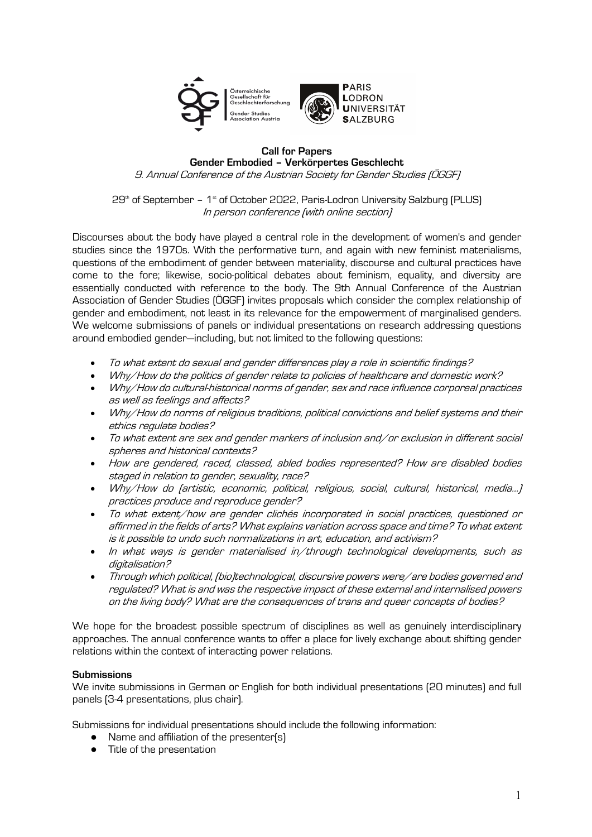

# **Call for Papers Gender Embodied – Verkörpertes Geschlecht**

9. Annual Conference of the Austrian Society for Gender Studies (ÖGGF)

 $29<sup>th</sup>$  of September – 1<sup>st</sup> of October 2022, Paris-Lodron University Salzburg (PLUS) In person conference (with online section)

Discourses about the body have played a central role in the development of women's and gender studies since the 1970s. With the performative turn, and again with new feminist materialisms, questions of the embodiment of gender between materiality, discourse and cultural practices have come to the fore; likewise, socio-political debates about feminism, equality, and diversity are essentially conducted with reference to the body. The 9th Annual Conference of the Austrian Association of Gender Studies (ÖGGF) invites proposals which consider the complex relationship of gender and embodiment, not least in its relevance for the empowerment of marginalised genders. We welcome submissions of panels or individual presentations on research addressing questions around embodied gender—including, but not limited to the following questions:

- To what extent do sexual and gender differences play a role in scientific findings?
- Why/How do the politics of gender relate to policies of healthcare and domestic work?
- Why/How do cultural-historical norms of gender, sex and race influence corporeal practices as well as feelings and affects?
- Why/How do norms of religious traditions, political convictions and belief systems and their ethics regulate bodies?
- To what extent are sex and gender markers of inclusion and/or exclusion in different social spheres and historical contexts?
- How are gendered, raced, classed, abled bodies represented? How are disabled bodies staged in relation to gender, sexuality, race?
- Why/How do (artistic, economic, political, religious, social, cultural, historical, media…) practices produce and reproduce gender?
- To what extent/how are gender clichés incorporated in social practices, questioned or affirmed in the fields of arts? What explains variation across space and time? To what extent is it possible to undo such normalizations in art, education, and activism?
- In what ways is gender materialised in/through technological developments, such as digitalisation?
- Through which political, (bio)technological, discursive powers were/are bodies governed and regulated? What is and was the respective impact of these external and internalised powers on the living body? What are the consequences of trans and queer concepts of bodies?

We hope for the broadest possible spectrum of disciplines as well as genuinely interdisciplinary approaches. The annual conference wants to offer a place for lively exchange about shifting gender relations within the context of interacting power relations.

## **Submissions**

We invite submissions in German or English for both individual presentations (20 minutes) and full panels (3-4 presentations, plus chair).

Submissions for individual presentations should include the following information:

- Name and affiliation of the presenter(s)
- Title of the presentation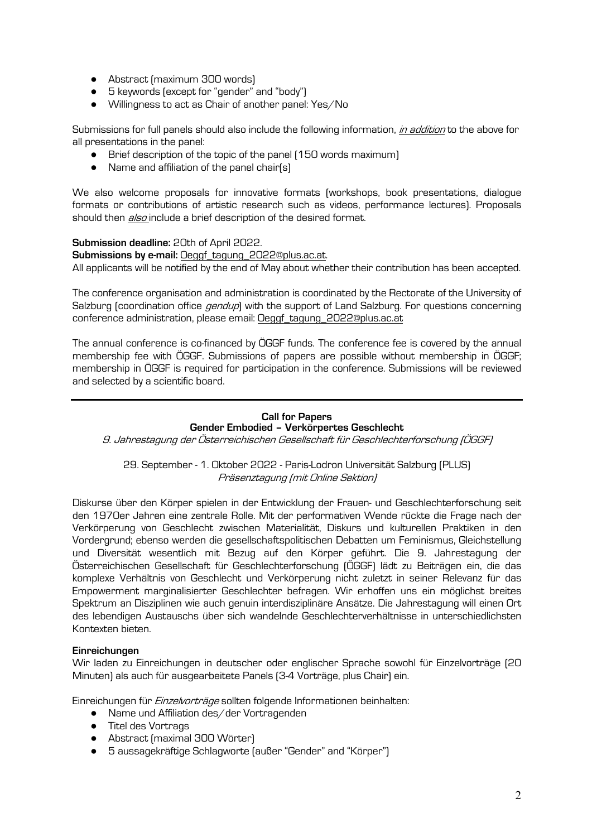- Abstract [maximum 300 words]
- 5 keywords (except for "gender" and "body")
- Willingness to act as Chair of another panel: Yes/No

Submissions for full panels should also include the following information, *in addition* to the above for all presentations in the panel:

- Brief description of the topic of the panel (150 words maximum)
- Name and affiliation of the panel chair(s)

We also welcome proposals for innovative formats (workshops, book presentations, dialogue formats or contributions of artistic research such as videos, performance lectures). Proposals should then *also* include a brief description of the desired format.

### **Submission deadline:** 20th of April 2022.

**Submissions by e-mail:** Oeggf\_tagung\_2022@plus.ac.at. All applicants will be notified by the end of May about whether their contribution has been accepted.

The conference organisation and administration is coordinated by the Rectorate of the University of Salzburg (coordination office *gendup*) with the support of Land Salzburg. For questions concerning conference administration, please email: Oeggf\_tagung\_2022@plus.ac.at

The annual conference is co-financed by ÖGGF funds. The conference fee is covered by the annual membership fee with ÖGGF. Submissions of papers are possible without membership in ÖGGF; membership in ÖGGF is required for participation in the conference. Submissions will be reviewed and selected by a scientific board.

#### **Call for Papers Gender Embodied – Verkörpertes Geschlecht**

9. Jahrestagung der Österreichischen Gesellschaft für Geschlechterforschung (ÖGGF)

29. September - 1. Oktober 2022 - Paris-Lodron Universität Salzburg (PLUS) Präsenztagung (mit Online Sektion)

Diskurse über den Körper spielen in der Entwicklung der Frauen- und Geschlechterforschung seit den 1970er Jahren eine zentrale Rolle. Mit der performativen Wende rückte die Frage nach der Verkörperung von Geschlecht zwischen Materialität, Diskurs und kulturellen Praktiken in den Vordergrund; ebenso werden die gesellschaftspolitischen Debatten um Feminismus, Gleichstellung und Diversität wesentlich mit Bezug auf den Körper geführt. Die 9. Jahrestagung der Österreichischen Gesellschaft für Geschlechterforschung (ÖGGF) lädt zu Beiträgen ein, die das komplexe Verhältnis von Geschlecht und Verkörperung nicht zuletzt in seiner Relevanz für das Empowerment marginalisierter Geschlechter befragen. Wir erhoffen uns ein möglichst breites Spektrum an Disziplinen wie auch genuin interdisziplinäre Ansätze. Die Jahrestagung will einen Ort des lebendigen Austauschs über sich wandelnde Geschlechterverhältnisse in unterschiedlichsten Kontexten bieten.

### **Einreichungen**

Wir laden zu Einreichungen in deutscher oder englischer Sprache sowohl für Einzelvorträge (20 Minuten) als auch für ausgearbeitete Panels (3-4 Vorträge, plus Chair) ein.

Einreichungen für *Einzelvorträge* sollten folgende Informationen beinhalten:

- Name und Affiliation des/der Vortragenden
- Titel des Vortrags
- Abstract (maximal 300 Wörter)
- 5 aussagekräftige Schlagworte (außer "Gender" and "Körper")